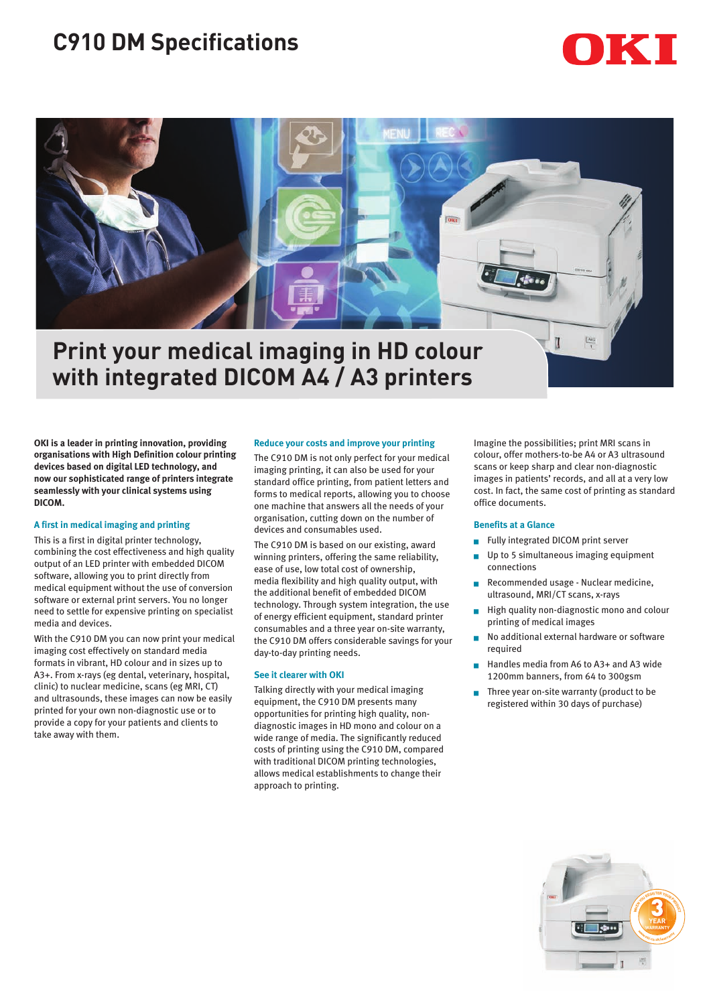# **C910 DM Specifications**



## **Print your medical imaging in HD colour with integrated DICOM A4 / A3 printers**

**OKI is a leader in printing innovation, providing organisations with High Definition colour printing devices based on digital LED technology, and now our sophisticated range of printers integrate seamlessly with your clinical systems using DICOM.**

### **A first in medical imaging and printing**

This is a first in digital printer technology, combining the cost effectiveness and high quality output of an LED printer with embedded DICOM software, allowing you to print directly from medical equipment without the use of conversion software or external print servers. You no longer need to settle for expensive printing on specialist media and devices.

With the C910 DM you can now print your medical imaging cost effectively on standard media formats in vibrant, HD colour and in sizes up to A3+. From x-rays (eg dental, veterinary, hospital, clinic) to nuclear medicine, scans (eg MRI, CT) and ultrasounds, these images can now be easily printed for your own non-diagnostic use or to provide a copy for your patients and clients to take away with them.

#### **Reduce your costs and improve your printing**

The C910 DM is not only perfect for your medical imaging printing, it can also be used for your standard office printing, from patient letters and forms to medical reports, allowing you to choose one machine that answers all the needs of your organisation, cutting down on the number of devices and consumables used.

The C910 DM is based on our existing, award winning printers, offering the same reliability, ease of use, low total cost of ownership, media flexibility and high quality output, with the additional benefit of embedded DICOM technology. Through system integration, the use of energy efficient equipment, standard printer consumables and a three year on-site warranty, the C910 DM offers considerable savings for your day-to-day printing needs.

#### **See it clearer with OKI**

Talking directly with your medical imaging equipment, the C910 DM presents many opportunities for printing high quality, nondiagnostic images in HD mono and colour on a wide range of media. The significantly reduced costs of printing using the C910 DM, compared with traditional DICOM printing technologies, allows medical establishments to change their approach to printing.

Imagine the possibilities; print MRI scans in colour, offer mothers-to-be A4 or A3 ultrasound scans or keep sharp and clear non-diagnostic images in patients' records, and all at a very low cost. In fact, the same cost of printing as standard office documents.

#### **Benefits at a Glance**

- Fully integrated DICOM print server
- Up to 5 simultaneous imaging equipment connections
- Recommended usage Nuclear medicine, ultrasound, MRI/CT scans, x-rays
- High quality non-diagnostic mono and colour printing of medical images
- No additional external hardware or software required
- <sup>g</sup> Handles media from A6 to A3+ and A3 wide 1200mm banners, from 64 to 300gsm
- Three year on-site warranty (product to be registered within 30 days of purchase)